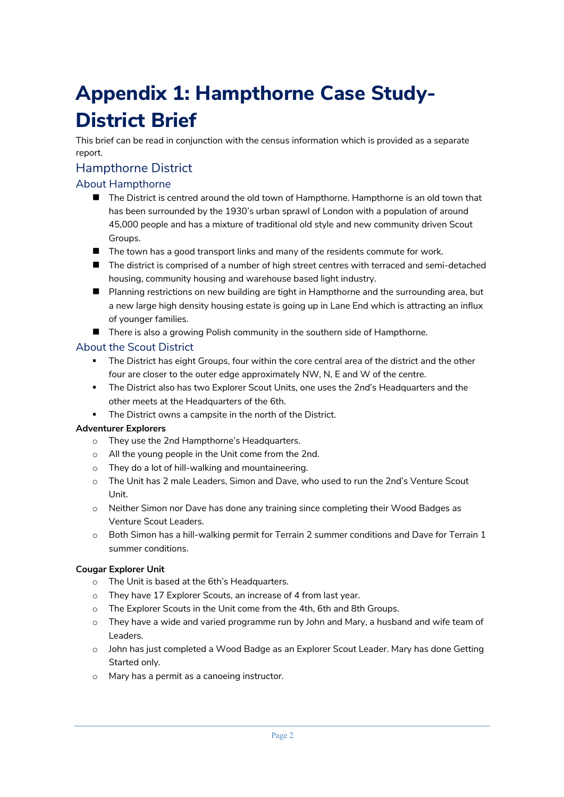# **Appendix 1: Hampthorne Case Study-District Brief**

This brief can be read in conjunction with the census information which is provided as a separate report.

# Hampthorne District

# About Hampthorne

- The District is centred around the old town of Hampthorne. Hampthorne is an old town that has been surrounded by the 1930's urban sprawl of London with a population of around 45,000 people and has a mixture of traditional old style and new community driven Scout Groups.
- $\blacksquare$  The town has a good transport links and many of the residents commute for work.
- $\blacksquare$  The district is comprised of a number of high street centres with terraced and semi-detached housing, community housing and warehouse based light industry.
- Planning restrictions on new building are tight in Hampthorne and the surrounding area, but a new large high density housing estate is going up in Lane End which is attracting an influx of younger families.
- $\blacksquare$  There is also a growing Polish community in the southern side of Hampthorne.

## About the Scout District

- The District has eight Groups, four within the core central area of the district and the other four are closer to the outer edge approximately NW, N, E and W of the centre.
- § The District also has two Explorer Scout Units, one uses the 2nd's Headquarters and the other meets at the Headquarters of the 6th.
- The District owns a campsite in the north of the District.

#### **Adventurer Explorers**

- o They use the 2nd Hampthorne's Headquarters.
- o All the young people in the Unit come from the 2nd.
- o They do a lot of hill-walking and mountaineering.
- o The Unit has 2 male Leaders, Simon and Dave, who used to run the 2nd's Venture Scout Unit.
- o Neither Simon nor Dave has done any training since completing their Wood Badges as Venture Scout Leaders.
- $\circ$  Both Simon has a hill-walking permit for Terrain 2 summer conditions and Dave for Terrain 1 summer conditions.

#### **Cougar Explorer Unit**

- o The Unit is based at the 6th's Headquarters.
- o They have 17 Explorer Scouts, an increase of 4 from last year.
- o The Explorer Scouts in the Unit come from the 4th, 6th and 8th Groups.
- $\circ$  They have a wide and varied programme run by John and Mary, a husband and wife team of Leaders.
- o John has just completed a Wood Badge as an Explorer Scout Leader. Mary has done Getting Started only.
- o Mary has a permit as a canoeing instructor.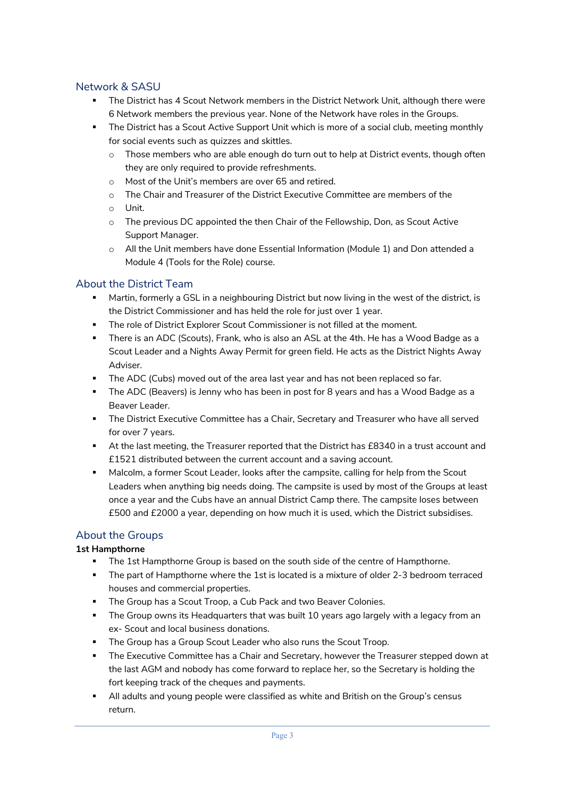# Network & SASU

- § The District has 4 Scout Network members in the District Network Unit, although there were 6 Network members the previous year. None of the Network have roles in the Groups.
- The District has a Scout Active Support Unit which is more of a social club, meeting monthly for social events such as quizzes and skittles.
	- $\circ$  Those members who are able enough do turn out to help at District events, though often they are only required to provide refreshments.
	- o Most of the Unit's members are over 65 and retired.
	- o The Chair and Treasurer of the District Executive Committee are members of the
	- o Unit.
	- o The previous DC appointed the then Chair of the Fellowship, Don, as Scout Active Support Manager.
	- o All the Unit members have done Essential Information (Module 1) and Don attended a Module 4 (Tools for the Role) course.

#### About the District Team

- Martin, formerly a GSL in a neighbouring District but now living in the west of the district, is the District Commissioner and has held the role for just over 1 year.
- The role of District Explorer Scout Commissioner is not filled at the moment.
- § There is an ADC (Scouts), Frank, who is also an ASL at the 4th. He has a Wood Badge as a Scout Leader and a Nights Away Permit for green field. He acts as the District Nights Away Adviser.
- § The ADC (Cubs) moved out of the area last year and has not been replaced so far.
- § The ADC (Beavers) is Jenny who has been in post for 8 years and has a Wood Badge as a Beaver Leader.
- **•** The District Executive Committee has a Chair, Secretary and Treasurer who have all served for over 7 years.
- § At the last meeting, the Treasurer reported that the District has £8340 in a trust account and £1521 distributed between the current account and a saving account.
- § Malcolm, a former Scout Leader, looks after the campsite, calling for help from the Scout Leaders when anything big needs doing. The campsite is used by most of the Groups at least once a year and the Cubs have an annual District Camp there. The campsite loses between £500 and £2000 a year, depending on how much it is used, which the District subsidises.

# About the Groups

#### **1st Hampthorne**

- The 1st Hampthorne Group is based on the south side of the centre of Hampthorne.
- § The part of Hampthorne where the 1st is located is a mixture of older 2-3 bedroom terraced houses and commercial properties.
- **The Group has a Scout Troop, a Cub Pack and two Beaver Colonies.**
- **•** The Group owns its Headquarters that was built 10 years ago largely with a legacy from an ex- Scout and local business donations.
- The Group has a Group Scout Leader who also runs the Scout Troop.
- **The Executive Committee has a Chair and Secretary, however the Treasurer stepped down at** the last AGM and nobody has come forward to replace her, so the Secretary is holding the fort keeping track of the cheques and payments.
- **All adults and young people were classified as white and British on the Group's census** return.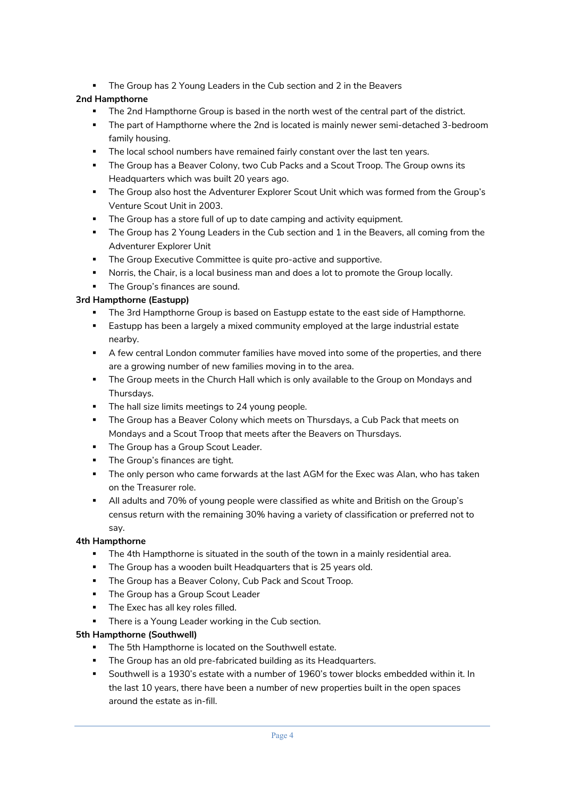**• The Group has 2 Young Leaders in the Cub section and 2 in the Beavers** 

# **2nd Hampthorne**

- The 2nd Hampthorne Group is based in the north west of the central part of the district.
- **•** The part of Hampthorne where the 2nd is located is mainly newer semi-detached 3-bedroom family housing.
- **•** The local school numbers have remained fairly constant over the last ten years.
- § The Group has a Beaver Colony, two Cub Packs and a Scout Troop. The Group owns its Headquarters which was built 20 years ago.
- § The Group also host the Adventurer Explorer Scout Unit which was formed from the Group's Venture Scout Unit in 2003.
- The Group has a store full of up to date camping and activity equipment.
- **The Group has 2 Young Leaders in the Cub section and 1 in the Beavers, all coming from the** Adventurer Explorer Unit
- **The Group Executive Committee is quite pro-active and supportive.**
- **•** Norris, the Chair, is a local business man and does a lot to promote the Group locally.
- **•** The Group's finances are sound.

## **3rd Hampthorne (Eastupp)**

- The 3rd Hampthorne Group is based on Eastupp estate to the east side of Hampthorne.
- **■** Eastupp has been a largely a mixed community employed at the large industrial estate nearby.
- § A few central London commuter families have moved into some of the properties, and there are a growing number of new families moving in to the area.
- The Group meets in the Church Hall which is only available to the Group on Mondays and Thursdays.
- **•** The hall size limits meetings to 24 young people.
- The Group has a Beaver Colony which meets on Thursdays, a Cub Pack that meets on Mondays and a Scout Troop that meets after the Beavers on Thursdays.
- **The Group has a Group Scout Leader.**
- **•** The Group's finances are tight.
- **•** The only person who came forwards at the last AGM for the Exec was Alan, who has taken on the Treasurer role.
- § All adults and 70% of young people were classified as white and British on the Group's census return with the remaining 30% having a variety of classification or preferred not to say.

#### **4th Hampthorne**

- The 4th Hampthorne is situated in the south of the town in a mainly residential area.
- **The Group has a wooden built Headquarters that is 25 years old.**
- **The Group has a Beaver Colony, Cub Pack and Scout Troop.**
- **The Group has a Group Scout Leader**
- **•** The Exec has all key roles filled.
- There is a Young Leader working in the Cub section.

#### **5th Hampthorne (Southwell)**

- The 5th Hampthorne is located on the Southwell estate.
- **The Group has an old pre-fabricated building as its Headquarters.**
- § Southwell is a 1930's estate with a number of 1960's tower blocks embedded within it. In the last 10 years, there have been a number of new properties built in the open spaces around the estate as in-fill.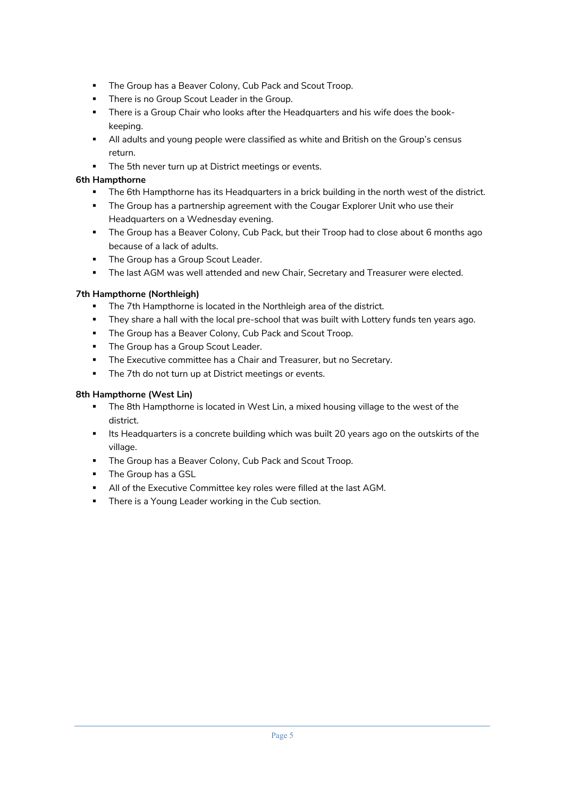- **The Group has a Beaver Colony, Cub Pack and Scout Troop.**
- **•** There is no Group Scout Leader in the Group.
- **•** There is a Group Chair who looks after the Headquarters and his wife does the bookkeeping.
- **All adults and young people were classified as white and British on the Group's census** return.
- **The 5th never turn up at District meetings or events.**

#### **6th Hampthorne**

- The 6th Hampthorne has its Headquarters in a brick building in the north west of the district.
- **•** The Group has a partnership agreement with the Cougar Explorer Unit who use their Headquarters on a Wednesday evening.
- The Group has a Beaver Colony, Cub Pack, but their Troop had to close about 6 months ago because of a lack of adults.
- **The Group has a Group Scout Leader.**
- **The last AGM was well attended and new Chair, Secretary and Treasurer were elected.**

#### **7th Hampthorne (Northleigh)**

- **•** The 7th Hampthorne is located in the Northleigh area of the district.
- § They share a hall with the local pre-school that was built with Lottery funds ten years ago.
- **The Group has a Beaver Colony, Cub Pack and Scout Troop.**
- **The Group has a Group Scout Leader.**
- **The Executive committee has a Chair and Treasurer, but no Secretary.**
- **•** The 7th do not turn up at District meetings or events.

#### **8th Hampthorne (West Lin)**

- **•** The 8th Hampthorne is located in West Lin, a mixed housing village to the west of the district.
- **■** Its Headquarters is a concrete building which was built 20 years ago on the outskirts of the village.
- **The Group has a Beaver Colony, Cub Pack and Scout Troop.**
- **The Group has a GSL**
- **All of the Executive Committee key roles were filled at the last AGM.**
- **•** There is a Young Leader working in the Cub section.